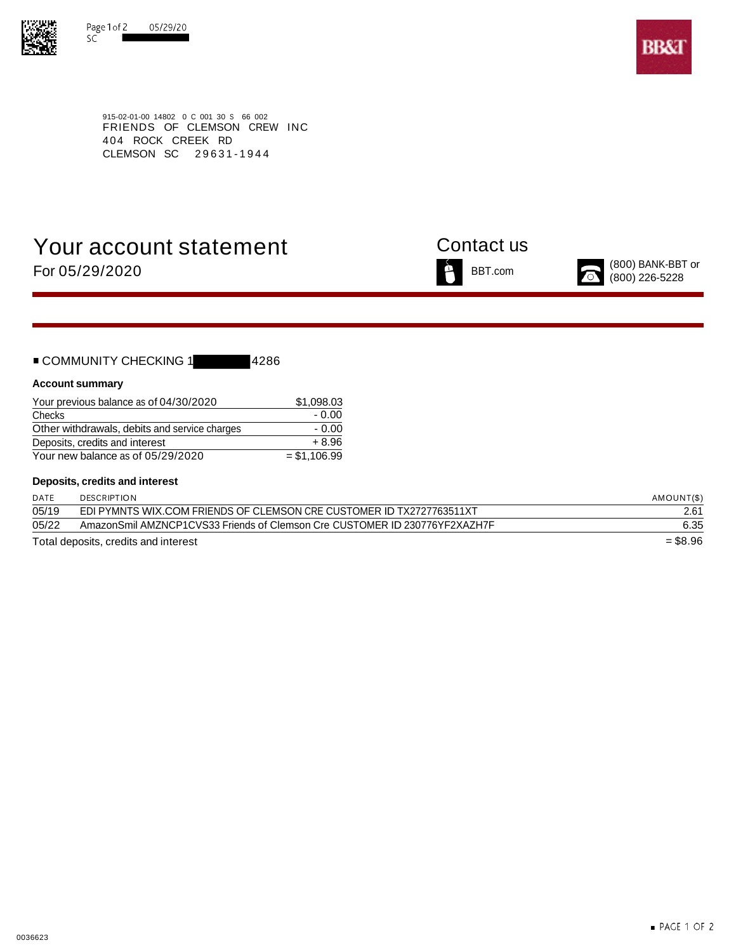



915-02-01-00 14802 0 C 001 30 S 66 002 FRIENDS OF CLEMSON CREW INC 404 ROCK CREEK RD CLEMSON SC 29631-1944

# Your account statement Contact us





### **Account summary**

| Your previous balance as of 04/30/2020        | \$1,098,03    |
|-----------------------------------------------|---------------|
| Checks                                        | $-0.00$       |
| Other withdrawals, debits and service charges | $-0.00$       |
| Deposits, credits and interest                | $+8.96$       |
| Your new balance as of 05/29/2020             | $= $1.106.99$ |

### **Deposits, credits and interest**

| DATE  | <b>DESCRIPTION</b>                                                         | AMOUNT(\$) |
|-------|----------------------------------------------------------------------------|------------|
| 05/19 | EDI PYMNTS WIX.COM FRIENDS OF CLEMSON CRE CUSTOMER ID TX2727763511XT       | 2.61       |
| 05/22 | AmazonSmil AMZNCP1CVS33 Friends of Clemson Cre CUSTOMER ID 230776YF2XAZH7F | 6.35       |
|       | Total deposits, credits and interest                                       | $= $8.96$  |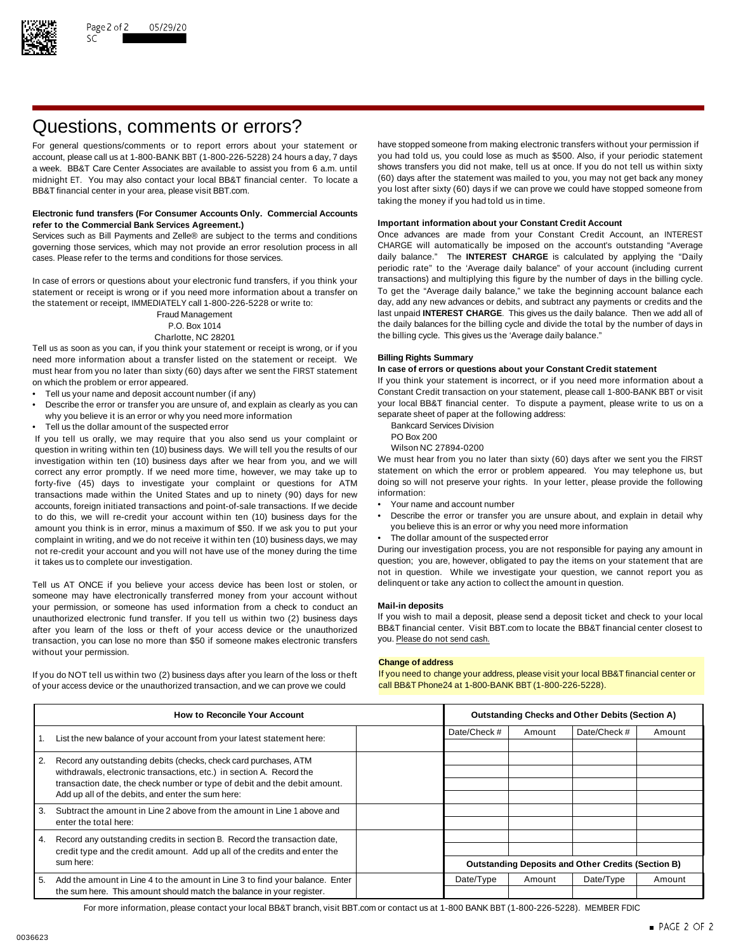

# Questions, comments or errors?

account, please call us at 1-800-BANK BBT (1-800-226-5228) 24 hours a day, 7 days midnight ET. You may also contact your local BB&T financial center. To locate a BB&T financial center in your area, please visit BBT.com. The state of the state of the state of the state of the state of the state of the state of the state of the state of the state of the state of the state of the stat

### **Electronic fund transfers (For Consumer Accounts Only. Commercial Accounts Important information about your Constant Credit Account refer to the Commercial Bank Services Agreement.)**

governing those services, which may not provide an error resolution process in all CHARGE will automatically be imposed on the account's outstanding "Average cases. Please refer to the terms and conditions for those services. daily balance." The **INTEREST CHARGE** is calculated by applying the "Daily

statement or receipt is wrong or if you need more information about a transfer on To get the "Average daily balance," we take the beginning account balance each<br>the statement or receipt IMMFDIATFLY call 1-800-226-5228 or w the statement or receipt, IMMEDIATELY call 1-800-226-5228 or write to:

Tell us as soon as you can, if you think your statement or receipt is wrong, or if you need more information about a transfer listed on the statement or receipt. We **Billing Rights Summary** must hear from you no later than sixty (60) days after we sent the FIRST statement on which the problem or error appeared. If you think your statement is incorrect, or if you need more information about a

- 
- Describe the error or transfer you are unsure of, and explain as clearly as you can your local BB&T financial center. To dispute a why you believe it is an error or why you need more information why you believe it is an error or why you need more information<br>Tell us the dollar amount of the suspected error and the following address Division
- Fell us the dollar amount of the suspected error<br>Vou tell us orally we may require that you also send us your complaint or BO Box 200

If you tell us orally, we may require that you also send us your complaint or PO Box 200<br>question in writing within ten (10) business days. We will tell you the results of our Wilson NC 27894-0200 question in writing within ten (10) business days. We will tell you the results of our Wilson NC 27894-0200<br>investigation within ten (10) business days after we hear from you, and we will We must hear from you no later tha investigation within ten (10) business days after we hear from you, and we will We must hear from you no later than sixty (60) days after we sent you the FIRST<br>correct any error promptly. If we need more time, however, we correct any error promptly. If we need more time, however, we may take up to statement on which the error or problem appeared. You may telephone us, but If or the endlowing to the more time, however, we may take up to the forty-five (45) days to investigate your complaint or questions for ATM doing so will<br>transactions made within the United States and up to pinety (90) days for new information: transactions made within the United States and up to ninety (90) days for new information:<br>accounts foreign initiated transactions and point-of-sale transactions. If we decide • Your name and account number accounts, foreign initiated transactions and point-of-sale transactions. If we decide to do this, we will re-credit your account within ten (10) business days for the • Describe the error or transfer you are unsure about, and explain in detail why<br>amount you think is in error, minus a maximum of \$50. If we amount you think is in error, minus a maximum of \$50. If we ask you to put your complaint in writing, and we do not receive it within ten (10) business days, we may • The dollar amount of the suspected error not re-credit your account and you will not have use of the money during the time During our investigation process, you are not responsible for paying any amount in

Tell us AT ONCE if you believe your access device has been lost or stolen, or delinquent or take any action to collect the amount in question. someone may have electronically transferred money from your account without your permission, or someone has used information from a check to conduct an **Mail-in deposits** unauthorized electronic fund transfer. If you tell us within two (2) business days If you wish to mail a deposit, please send a deposit ticket and check to your local after vou learn of the loss or theft of your access dev after you learn of the loss or theft of your access device or the unauthorized BB&T financial center. Visit l<br>transaction, you can lose no more than \$50 if someone makes electronic transfers you. Please do not send cash. transaction, you can lose no more than \$50 if someone makes electronic transfers without your permission.

If you do NOT tell us within two (2) business days after you learn of the loss or theft If you need to change your address, please visit your local BB&T financial center or of your access device or the unauthorized transaction, and we can prove we could call BB&T Phone24 at 1-800-BANK BBT (1-800-226-5228).

For general questions/comments or to report errors about your statement or have stopped someone from making electronic transfers without your permission if account please call us at 1-800-BANK BBT (1-800-226-5228) 24 hours a week. BB&T Care Center Associates are available to assist you from 6 a.m. until shows transfers you did not make, tell us at once. If you do not tell us within sixty<br>midnight FT You may also contact your local BB&T finan taking the money if you had told us in time.

Services such as Bill Payments and Zelle® are subject to the terms and conditions Once advances are made from your Constant Credit Account, an INTEREST periodic rate" to the 'Average daily balance" of your account (including current In case of errors or questions about your electronic fund transfers, if you think your transactions) and multiplying this figure by the number of days in the billing cycle.<br>Statement or receipt is wrong or if you need more Fraud Management last unpaid **INTEREST CHARGE**. This gives us the daily balance. Then we add all of P.O. Box 1014 the daily balances for the billing cycle and divide the total by the number of days in Charlotte, NC 28201 **the billing cycle.** This gives us the 'Average daily balance."

Tell us your name and deposit account number (if any)<br>Constant Credit transaction on your statement, please call 1-800-BANK BBT or visit • Constant Credit transaction on your statement, please call 1-800-BANK BBT or visit

- 
- 
- 

- 
- 
- 

it takes us to complete our investigation. The statement of the statement that are question; you are, however, obligated to pay the items on your statement that are not in question. While we investigate your question, we cannot report you as

### **Change of address**

| <b>How to Reconcile Your Account</b>                                  |                                                                                                                                                                                                        | <b>Outstanding Checks and Other Debits (Section A)</b> |                                                           |              |           |        |
|-----------------------------------------------------------------------|--------------------------------------------------------------------------------------------------------------------------------------------------------------------------------------------------------|--------------------------------------------------------|-----------------------------------------------------------|--------------|-----------|--------|
| List the new balance of your account from your latest statement here: |                                                                                                                                                                                                        | Date/Check #                                           | Amount                                                    | Date/Check # | Amount    |        |
|                                                                       |                                                                                                                                                                                                        |                                                        |                                                           |              |           |        |
| 2.                                                                    | Record any outstanding debits (checks, check card purchases, ATM                                                                                                                                       |                                                        |                                                           |              |           |        |
|                                                                       | withdrawals, electronic transactions, etc.) in section A. Record the<br>transaction date, the check number or type of debit and the debit amount.<br>Add up all of the debits, and enter the sum here: |                                                        |                                                           |              |           |        |
|                                                                       |                                                                                                                                                                                                        |                                                        |                                                           |              |           |        |
|                                                                       |                                                                                                                                                                                                        |                                                        |                                                           |              |           |        |
| 3.                                                                    | Subtract the amount in Line 2 above from the amount in Line 1 above and                                                                                                                                |                                                        |                                                           |              |           |        |
|                                                                       | enter the total here:                                                                                                                                                                                  |                                                        |                                                           |              |           |        |
| 4.                                                                    | Record any outstanding credits in section B. Record the transaction date,<br>credit type and the credit amount. Add up all of the credits and enter the<br>sum here:                                   |                                                        |                                                           |              |           |        |
|                                                                       |                                                                                                                                                                                                        |                                                        |                                                           |              |           |        |
|                                                                       |                                                                                                                                                                                                        |                                                        | <b>Outstanding Deposits and Other Credits (Section B)</b> |              |           |        |
| 5.                                                                    | Add the amount in Line 4 to the amount in Line 3 to find your balance. Enter                                                                                                                           |                                                        | Date/Type                                                 | Amount       | Date/Type | Amount |
|                                                                       | the sum here. This amount should match the balance in your register.                                                                                                                                   |                                                        |                                                           |              |           |        |

For more information, please contact your local BB&T branch, visit BBT.com or contact us at 1-800 BANK BBT (1-800-226-5228). MEMBER FDIC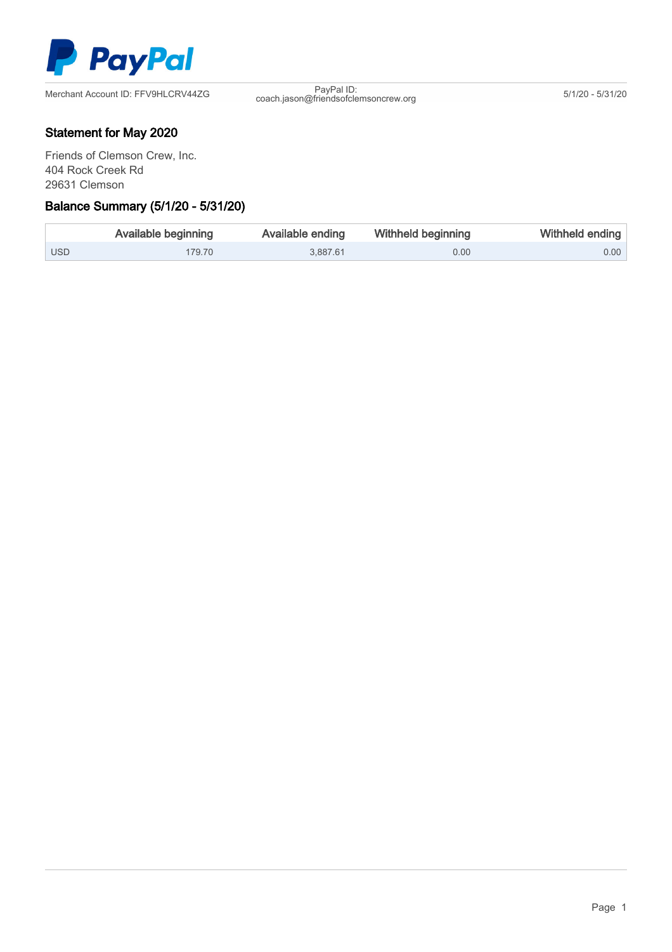

PayPal ID:<br>
coach.jason@friendsofclemsoncrew.org 5/1/20 - 5/31/20

## Statement for May 2020

Friends of Clemson Crew, Inc. 404 Rock Creek Rd 29631 Clemson

### Ξ Balance Summary (5/1/20 - 5/31/20)

|            | Available beginning | Available ending | <b>Withheld beginning</b> | Withheld ending |
|------------|---------------------|------------------|---------------------------|-----------------|
| <b>USD</b> | 179.70              | 3.887.61         | 0.00                      | $0.00$          |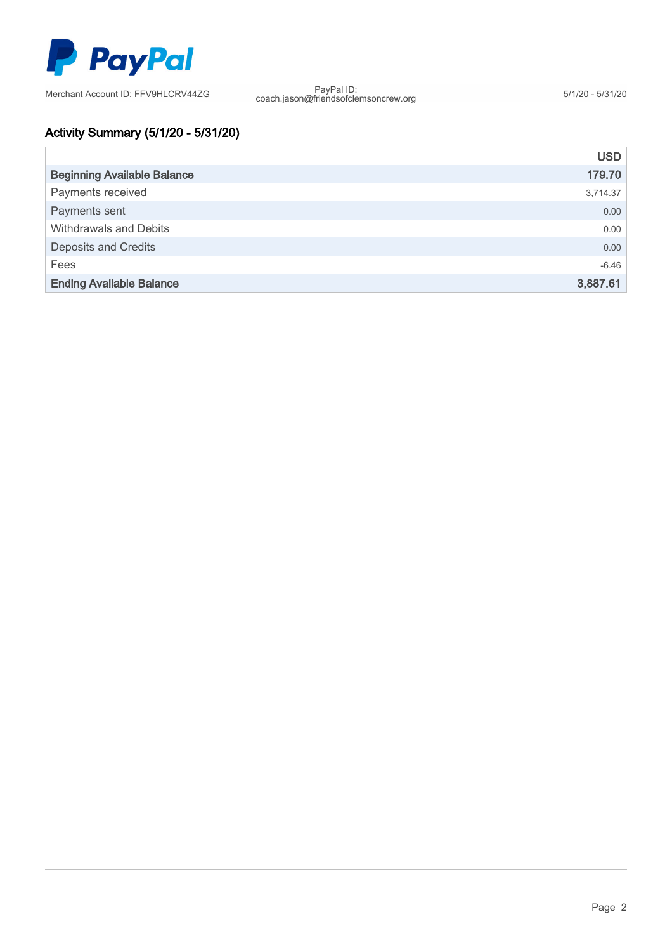

PayPal ID:<br>coach.jason@friendsofclemsoncrew.org 5/1/20 - 5/31/20

# Activity Summary (5/1/20 - 5/31/20)

|                                    | <b>USD</b> |
|------------------------------------|------------|
| <b>Beginning Available Balance</b> | 179.70     |
| Payments received                  | 3,714.37   |
| Payments sent                      | 0.00       |
| Withdrawals and Debits             | 0.00       |
| <b>Deposits and Credits</b>        | 0.00       |
| Fees                               | $-6.46$    |
| <b>Ending Available Balance</b>    | 3,887.61   |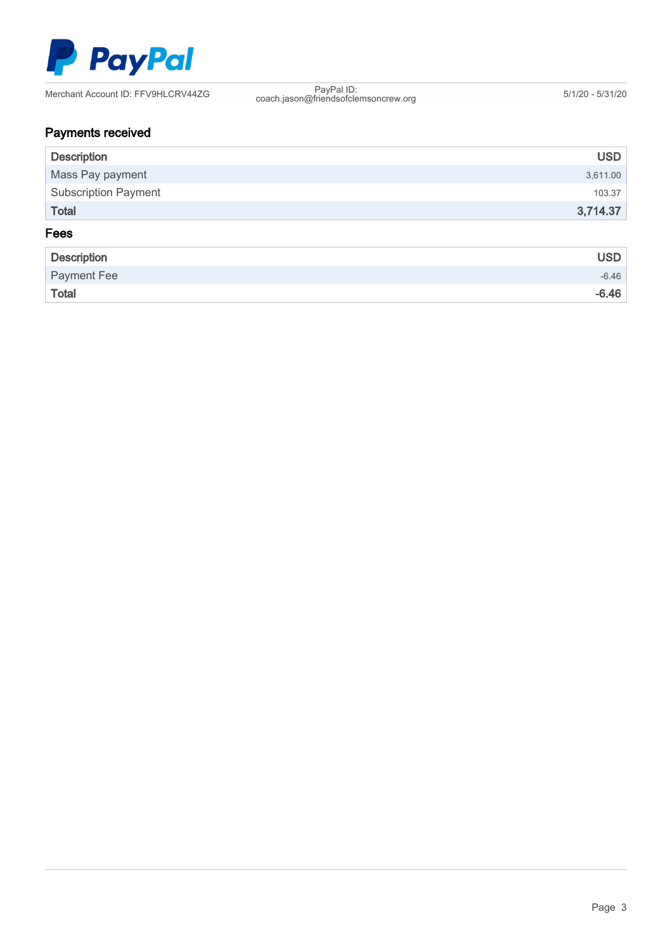

PayPal ID:<br>coach.jason@friendsofclemsoncrew.org 5/1/20 - 5/31/20

# Payments received

| <b>Description</b>          | <b>USD</b> |
|-----------------------------|------------|
| Mass Pay payment            | 3,611.00   |
| <b>Subscription Payment</b> | 103.37     |
| <b>Total</b>                | 3,714.37   |
| Fees                        |            |

| Description  | <b>USD</b> |
|--------------|------------|
| Payment Fee  | $-6.46$    |
| <b>Total</b> | $-6.46$    |